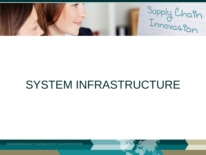Supply Chain

# SYSTEM INFRASTRUCTURE

KONKURRENCEKR AFT GENNEM SUPPLY CHAIN INNOVATION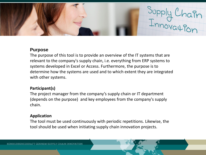

### **Purpose**

The purpose of this tool is to provide an overview of the IT systems that are relevant to the company's supply chain, i.e. everything from ERP systems to systems developed in Excel or Access. Furthermore, the purpose is to determine how the systems are used and to which extent they are integrated with other systems.

## **Participant(s)**

The project manager from the company's supply chain or IT department (depends on the purpose) and key employees from the company's supply chain.

### **Application**

The tool must be used continuously with periodic repetitions. Likewise, the tool should be used when initiating supply chain innovation projects.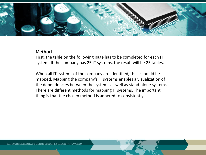

#### **Method**

First, the table on the following page has to be completed for each IT system. If the company has 25 IT systems, the result will be 25 tables.

When all IT systems of the company are identified, these should be mapped. Mapping the company's IT systems enables a visualization of the dependencies between the systems as well as stand-alone systems. There are different methods for mapping IT systems. The important thing is that the chosen method is adhered to consistently.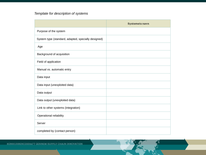# *Template for description of systems*

|                                                     | Systemets navn |
|-----------------------------------------------------|----------------|
| Purpose of the system                               |                |
| System type (standard, adapted, specially designed) |                |
| Age                                                 |                |
| Background of acquisition                           |                |
| Field of application                                |                |
| Manual vs. automatic entry                          |                |
| Data input                                          |                |
| Data input (unexploited data)                       |                |
| Data output                                         |                |
| Data output (unexploited data)                      |                |
| Link to other systems (integration)                 |                |
| Operational reliability                             |                |
| Server                                              |                |
| completed by (contact person)                       |                |

KONKURRENCEKRAFT GENNEM SUPPLY CHAIN INNOVATION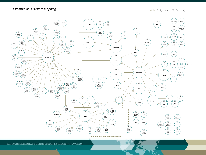#### *Example of IT system mapping*

Kilde | Arlbjørn et al. (2006, s. 114)



KONKURRENCEKRAFT GENNEM SUPPLY CHAIN INNOVATION